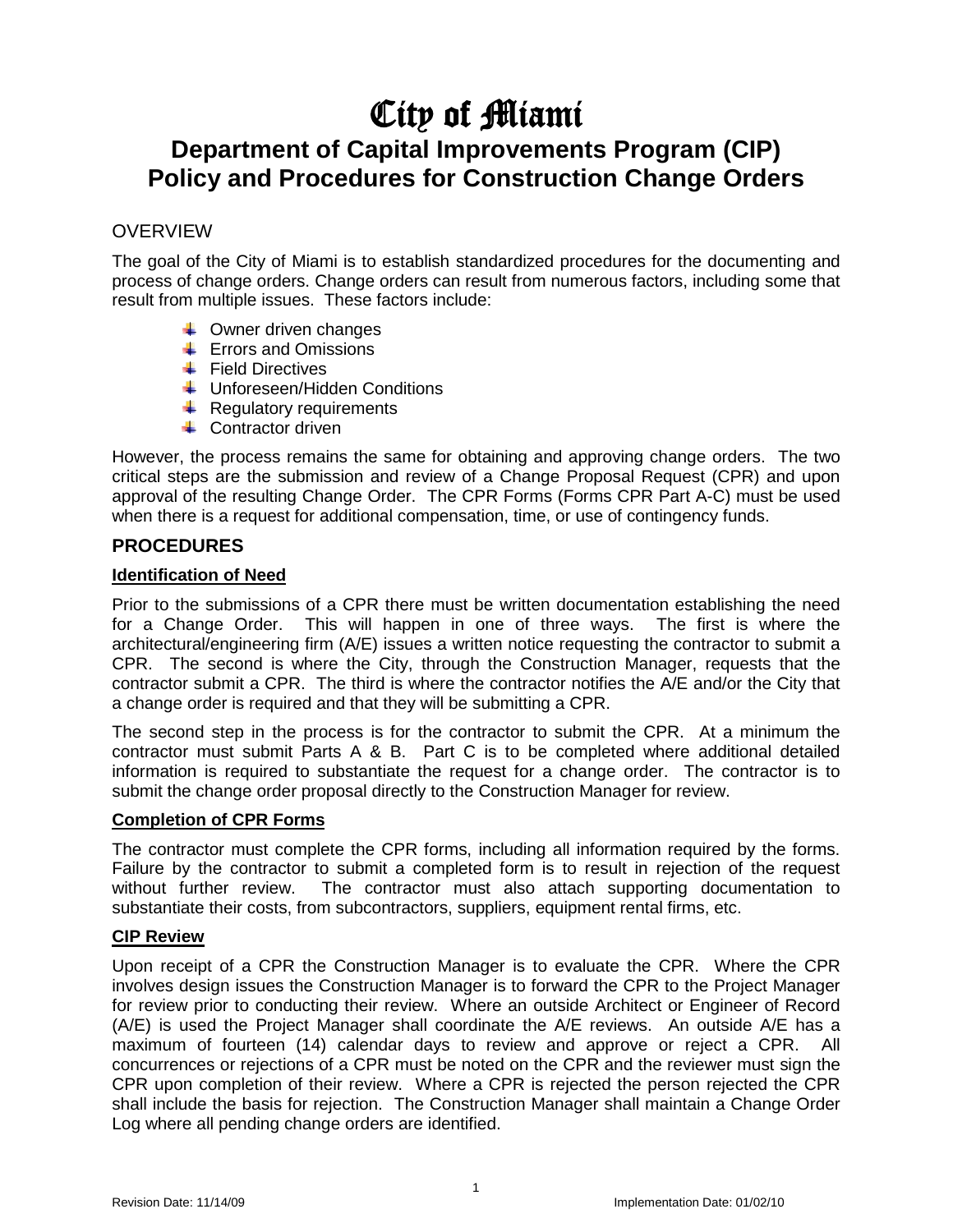# City of Miami

# **Department of Capital Improvements Program (CIP) Policy and Procedures for Construction Change Orders**

## **OVERVIEW**

The goal of the City of Miami is to establish standardized procedures for the documenting and process of change orders. Change orders can result from numerous factors, including some that result from multiple issues. These factors include:

- $\leftarrow$  Owner driven changes
- $\leftarrow$  Errors and Omissions
- $\leftarrow$  Field Directives
- $\leftarrow$  Unforeseen/Hidden Conditions
- $\leftarrow$  Regulatory requirements
- $\triangle$  Contractor driven

However, the process remains the same for obtaining and approving change orders. The two critical steps are the submission and review of a Change Proposal Request (CPR) and upon approval of the resulting Change Order. The CPR Forms (Forms CPR Part A-C) must be used when there is a request for additional compensation, time, or use of contingency funds.

### **PROCEDURES**

#### **Identification of Need**

Prior to the submissions of a CPR there must be written documentation establishing the need for a Change Order. This will happen in one of three ways. The first is where the architectural/engineering firm (A/E) issues a written notice requesting the contractor to submit a CPR. The second is where the City, through the Construction Manager, requests that the contractor submit a CPR. The third is where the contractor notifies the A/E and/or the City that a change order is required and that they will be submitting a CPR.

The second step in the process is for the contractor to submit the CPR. At a minimum the contractor must submit Parts A & B. Part C is to be completed where additional detailed information is required to substantiate the request for a change order. The contractor is to submit the change order proposal directly to the Construction Manager for review.

#### **Completion of CPR Forms**

The contractor must complete the CPR forms, including all information required by the forms. Failure by the contractor to submit a completed form is to result in rejection of the request without further review. The contractor must also attach supporting documentation to substantiate their costs, from subcontractors, suppliers, equipment rental firms, etc.

#### **CIP Review**

Upon receipt of a CPR the Construction Manager is to evaluate the CPR. Where the CPR involves design issues the Construction Manager is to forward the CPR to the Project Manager for review prior to conducting their review. Where an outside Architect or Engineer of Record (A/E) is used the Project Manager shall coordinate the A/E reviews. An outside A/E has a maximum of fourteen (14) calendar days to review and approve or reject a CPR. All concurrences or rejections of a CPR must be noted on the CPR and the reviewer must sign the CPR upon completion of their review. Where a CPR is rejected the person rejected the CPR shall include the basis for rejection. The Construction Manager shall maintain a Change Order Log where all pending change orders are identified.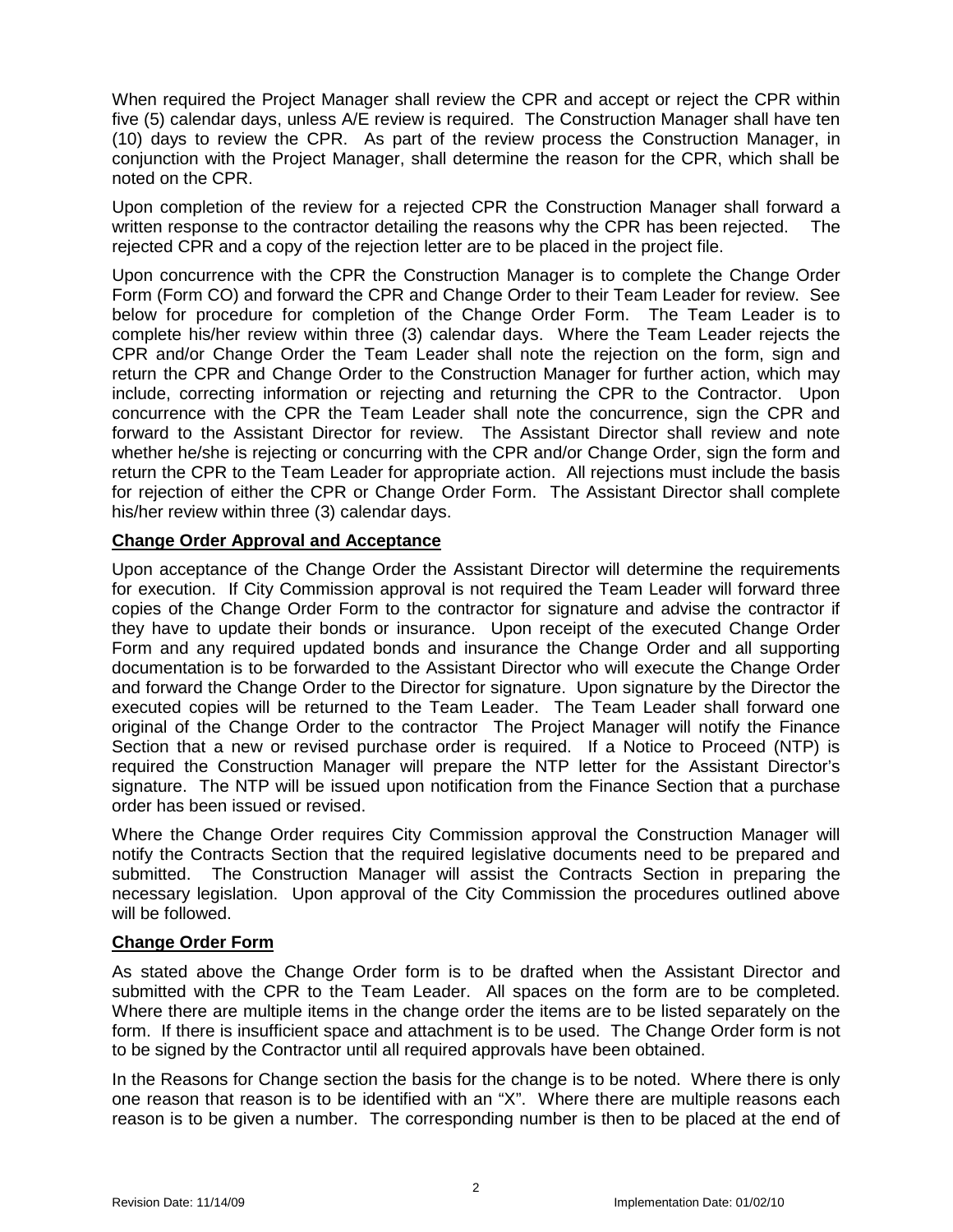When required the Project Manager shall review the CPR and accept or reject the CPR within five (5) calendar days, unless A/E review is required. The Construction Manager shall have ten (10) days to review the CPR. As part of the review process the Construction Manager, in conjunction with the Project Manager, shall determine the reason for the CPR, which shall be noted on the CPR.

Upon completion of the review for a rejected CPR the Construction Manager shall forward a written response to the contractor detailing the reasons why the CPR has been rejected. The rejected CPR and a copy of the rejection letter are to be placed in the project file.

Upon concurrence with the CPR the Construction Manager is to complete the Change Order Form (Form CO) and forward the CPR and Change Order to their Team Leader for review. See below for procedure for completion of the Change Order Form. The Team Leader is to complete his/her review within three (3) calendar days. Where the Team Leader rejects the CPR and/or Change Order the Team Leader shall note the rejection on the form, sign and return the CPR and Change Order to the Construction Manager for further action, which may include, correcting information or rejecting and returning the CPR to the Contractor. Upon concurrence with the CPR the Team Leader shall note the concurrence, sign the CPR and forward to the Assistant Director for review. The Assistant Director shall review and note whether he/she is rejecting or concurring with the CPR and/or Change Order, sign the form and return the CPR to the Team Leader for appropriate action. All rejections must include the basis for rejection of either the CPR or Change Order Form. The Assistant Director shall complete his/her review within three (3) calendar days.

#### **Change Order Approval and Acceptance**

Upon acceptance of the Change Order the Assistant Director will determine the requirements for execution. If City Commission approval is not required the Team Leader will forward three copies of the Change Order Form to the contractor for signature and advise the contractor if they have to update their bonds or insurance. Upon receipt of the executed Change Order Form and any required updated bonds and insurance the Change Order and all supporting documentation is to be forwarded to the Assistant Director who will execute the Change Order and forward the Change Order to the Director for signature. Upon signature by the Director the executed copies will be returned to the Team Leader. The Team Leader shall forward one original of the Change Order to the contractor The Project Manager will notify the Finance Section that a new or revised purchase order is required. If a Notice to Proceed (NTP) is required the Construction Manager will prepare the NTP letter for the Assistant Director's signature. The NTP will be issued upon notification from the Finance Section that a purchase order has been issued or revised.

Where the Change Order requires City Commission approval the Construction Manager will notify the Contracts Section that the required legislative documents need to be prepared and submitted. The Construction Manager will assist the Contracts Section in preparing the necessary legislation. Upon approval of the City Commission the procedures outlined above will be followed.

#### **Change Order Form**

As stated above the Change Order form is to be drafted when the Assistant Director and submitted with the CPR to the Team Leader. All spaces on the form are to be completed. Where there are multiple items in the change order the items are to be listed separately on the form. If there is insufficient space and attachment is to be used. The Change Order form is not to be signed by the Contractor until all required approvals have been obtained.

In the Reasons for Change section the basis for the change is to be noted. Where there is only one reason that reason is to be identified with an "X". Where there are multiple reasons each reason is to be given a number. The corresponding number is then to be placed at the end of